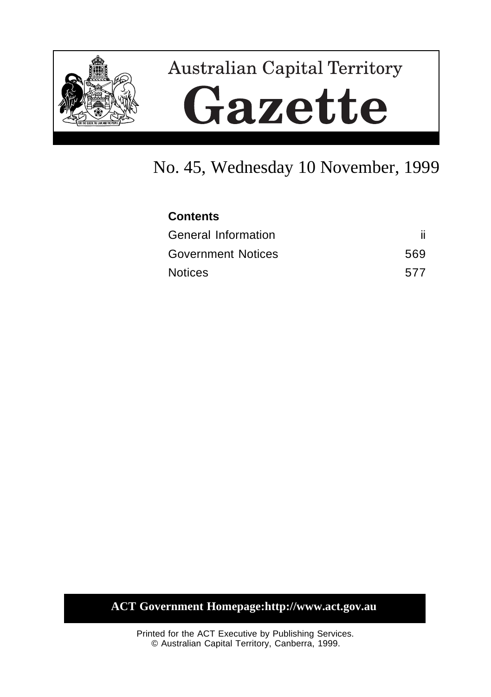

# **Australian Capital Territory** Gazette

# No. 45, Wednesday 10 November, 1999

| <b>Contents</b>           |     |
|---------------------------|-----|
| General Information       |     |
| <b>Government Notices</b> | 569 |
| <b>Notices</b>            | 577 |

## **ACT Government Homepage:http://www.act.gov.au**

Printed for the ACT Executive by Publishing Services. © Australian Capital Territory, Canberra, 1999.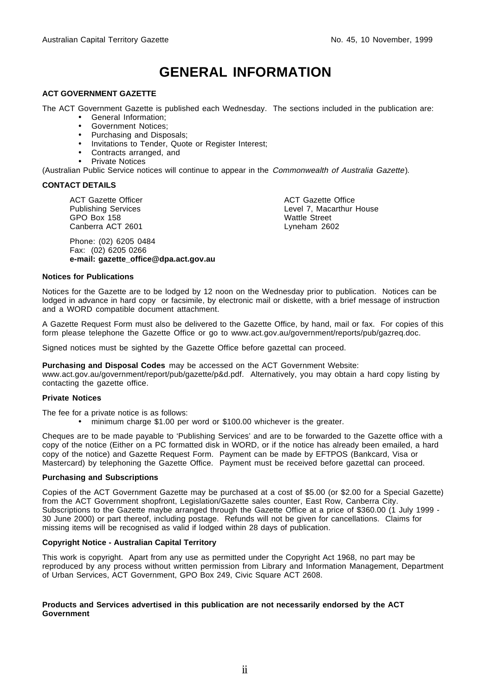# **GENERAL INFORMATION**

#### **ACT GOVERNMENT GAZETTE**

The ACT Government Gazette is published each Wednesday. The sections included in the publication are:

- General Information;
- Government Notices;
- Purchasing and Disposals;
- Invitations to Tender, Quote or Register Interest;
- Contracts arranged, and
- Private Notices

(Australian Public Service notices will continue to appear in the Commonwealth of Australia Gazette).

#### **CONTACT DETAILS**

ACT Gazette Officer Publishing Services GPO Box 158 Canberra ACT 2601

Phone: (02) 6205 0484 Fax: (02) 6205 0266 **e-mail: gazette\_office@dpa.act.gov.au** ACT Gazette Office Level 7, Macarthur House Wattle Street Lyneham 2602

#### **Notices for Publications**

Notices for the Gazette are to be lodged by 12 noon on the Wednesday prior to publication. Notices can be lodged in advance in hard copy or facsimile, by electronic mail or diskette, with a brief message of instruction and a WORD compatible document attachment.

A Gazette Request Form must also be delivered to the Gazette Office, by hand, mail or fax. For copies of this form please telephone the Gazette Office or go to www.act.gov.au/government/reports/pub/gazreq.doc.

Signed notices must be sighted by the Gazette Office before gazettal can proceed.

**Purchasing and Disposal Codes** may be accessed on the ACT Government Website:

www.act.gov.au/government/report/pub/gazette/p&d.pdf. Alternatively, you may obtain a hard copy listing by contacting the gazette office.

#### **Private Notices**

The fee for a private notice is as follows:

• minimum charge \$1.00 per word or \$100.00 whichever is the greater.

Cheques are to be made payable to 'Publishing Services' and are to be forwarded to the Gazette office with a copy of the notice (Either on a PC formatted disk in WORD, or if the notice has already been emailed, a hard copy of the notice) and Gazette Request Form. Payment can be made by EFTPOS (Bankcard, Visa or Mastercard) by telephoning the Gazette Office. Payment must be received before gazettal can proceed.

#### **Purchasing and Subscriptions**

Copies of the ACT Government Gazette may be purchased at a cost of \$5.00 (or \$2.00 for a Special Gazette) from the ACT Government shopfront, Legislation/Gazette sales counter, East Row, Canberra City. Subscriptions to the Gazette maybe arranged through the Gazette Office at a price of \$360.00 (1 July 1999 -30 June 2000) or part thereof, including postage. Refunds will not be given for cancellations. Claims for missing items will be recognised as valid if lodged within 28 days of publication.

#### **Copyright Notice - Australian Capital Territory**

This work is copyright. Apart from any use as permitted under the Copyright Act 1968, no part may be reproduced by any process without written permission from Library and Information Management, Department of Urban Services, ACT Government, GPO Box 249, Civic Square ACT 2608.

#### **Products and Services advertised in this publication are not necessarily endorsed by the ACT Government**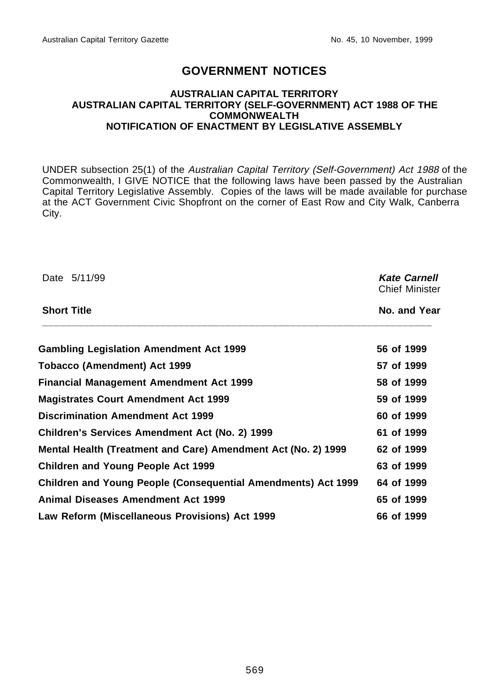## **GOVERNMENT NOTICES**

#### **AUSTRALIAN CAPITAL TERRITORY AUSTRALIAN CAPITAL TERRITORY (SELF-GOVERNMENT) ACT 1988 OF THE COMMONWEALTH NOTIFICATION OF ENACTMENT BY LEGISLATIVE ASSEMBLY**

UNDER subsection 25(1) of the Australian Capital Territory (Self-Government) Act 1988 of the Commonwealth, I GIVE NOTICE that the following laws have been passed by the Australian Capital Territory Legislative Assembly. Copies of the laws will be made available for purchase at the ACT Government Civic Shopfront on the corner of East Row and City Walk, Canberra City.

| Date 5/11/99                                                  | <b>Kate Carnell</b><br><b>Chief Minister</b><br>No. and Year |  |
|---------------------------------------------------------------|--------------------------------------------------------------|--|
| <b>Short Title</b>                                            |                                                              |  |
| <b>Gambling Legislation Amendment Act 1999</b>                | 56 of 1999                                                   |  |
| Tobacco (Amendment) Act 1999                                  | 57 of 1999                                                   |  |
| <b>Financial Management Amendment Act 1999</b>                | 58 of 1999                                                   |  |
| <b>Magistrates Court Amendment Act 1999</b>                   | 59 of 1999                                                   |  |
| <b>Discrimination Amendment Act 1999</b>                      | 60 of 1999                                                   |  |
| Children's Services Amendment Act (No. 2) 1999                | 61 of 1999                                                   |  |
| Mental Health (Treatment and Care) Amendment Act (No. 2) 1999 | 62 of 1999                                                   |  |
| <b>Children and Young People Act 1999</b>                     | 63 of 1999                                                   |  |
| Children and Young People (Consequential Amendments) Act 1999 | 64 of 1999                                                   |  |
| <b>Animal Diseases Amendment Act 1999</b>                     | 65 of 1999                                                   |  |
| Law Reform (Miscellaneous Provisions) Act 1999                | 66 of 1999                                                   |  |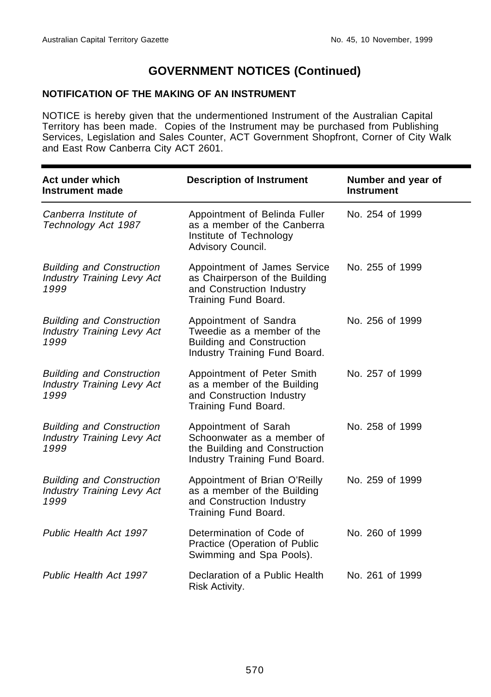## **NOTIFICATION OF THE MAKING OF AN INSTRUMENT**

NOTICE is hereby given that the undermentioned Instrument of the Australian Capital Territory has been made. Copies of the Instrument may be purchased from Publishing Services, Legislation and Sales Counter, ACT Government Shopfront, Corner of City Walk and East Row Canberra City ACT 2601.

| Act under which<br>Instrument made                                            | <b>Description of Instrument</b>                                                                                         | Number and year of<br><b>Instrument</b> |
|-------------------------------------------------------------------------------|--------------------------------------------------------------------------------------------------------------------------|-----------------------------------------|
| Canberra Institute of<br>Technology Act 1987                                  | Appointment of Belinda Fuller<br>as a member of the Canberra<br>Institute of Technology<br>Advisory Council.             | No. 254 of 1999                         |
| <b>Building and Construction</b><br><b>Industry Training Levy Act</b><br>1999 | Appointment of James Service<br>as Chairperson of the Building<br>and Construction Industry<br>Training Fund Board.      | No. 255 of 1999                         |
| <b>Building and Construction</b><br><b>Industry Training Levy Act</b><br>1999 | Appointment of Sandra<br>Tweedie as a member of the<br><b>Building and Construction</b><br>Industry Training Fund Board. | No. 256 of 1999                         |
| <b>Building and Construction</b><br><b>Industry Training Levy Act</b><br>1999 | Appointment of Peter Smith<br>as a member of the Building<br>and Construction Industry<br>Training Fund Board.           | No. 257 of 1999                         |
| <b>Building and Construction</b><br><b>Industry Training Levy Act</b><br>1999 | Appointment of Sarah<br>Schoonwater as a member of<br>the Building and Construction<br>Industry Training Fund Board.     | No. 258 of 1999                         |
| <b>Building and Construction</b><br><b>Industry Training Levy Act</b><br>1999 | Appointment of Brian O'Reilly<br>as a member of the Building<br>and Construction Industry<br>Training Fund Board.        | No. 259 of 1999                         |
| Public Health Act 1997                                                        | Determination of Code of<br>Practice (Operation of Public<br>Swimming and Spa Pools).                                    | No. 260 of 1999                         |
| Public Health Act 1997                                                        | Declaration of a Public Health<br>Risk Activity.                                                                         | No. 261 of 1999                         |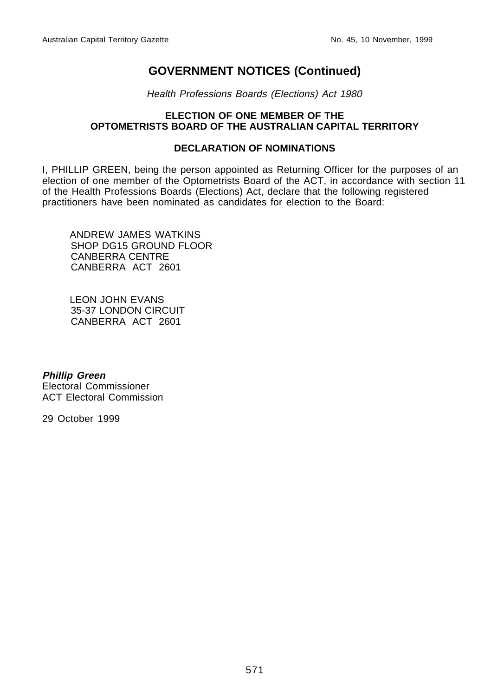Health Professions Boards (Elections) Act 1980

## **ELECTION OF ONE MEMBER OF THE OPTOMETRISTS BOARD OF THE AUSTRALIAN CAPITAL TERRITORY**

## **DECLARATION OF NOMINATIONS**

I, PHILLIP GREEN, being the person appointed as Returning Officer for the purposes of an election of one member of the Optometrists Board of the ACT, in accordance with section 11 of the Health Professions Boards (Elections) Act, declare that the following registered practitioners have been nominated as candidates for election to the Board:

ANDREW JAMES WATKINS SHOP DG15 GROUND FLOOR CANBERRA CENTRE CANBERRA ACT 2601

LEON JOHN EVANS 35-37 LONDON CIRCUIT CANBERRA ACT 2601

**Phillip Green** Electoral Commissioner ACT Electoral Commission

29 October 1999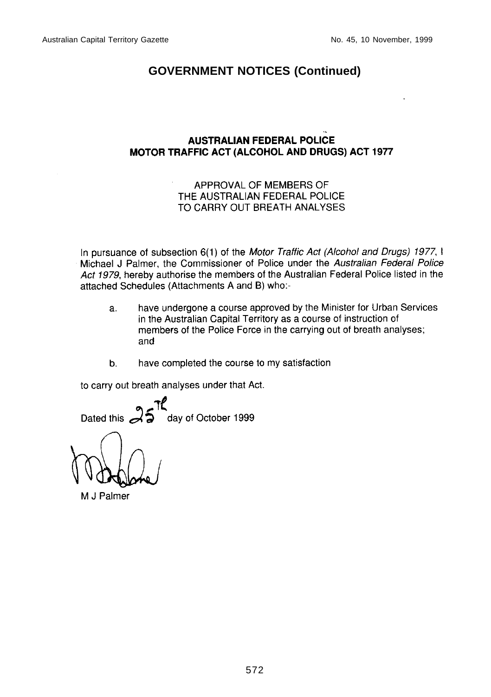## **AUSTRALIAN FEDERAL POLICE** MOTOR TRAFFIC ACT (ALCOHOL AND DRUGS) ACT 1977

## APPROVAL OF MEMBERS OF THE AUSTRALIAN FEDERAL POLICE TO CARRY OUT BREATH ANALYSES

In pursuance of subsection 6(1) of the Motor Traffic Act (Alcohol and Drugs) 1977, I Michael J Palmer, the Commissioner of Police under the Australian Federal Police Act 1979, hereby authorise the members of the Australian Federal Police listed in the attached Schedules (Attachments A and B) who:-

- have undergone a course approved by the Minister for Urban Services a. in the Australian Capital Territory as a course of instruction of members of the Police Force in the carrying out of breath analyses; and
- $\mathbf b$ . have completed the course to my satisfaction

to carry out breath analyses under that Act.

day of October 1999 Dated this

M J Palmer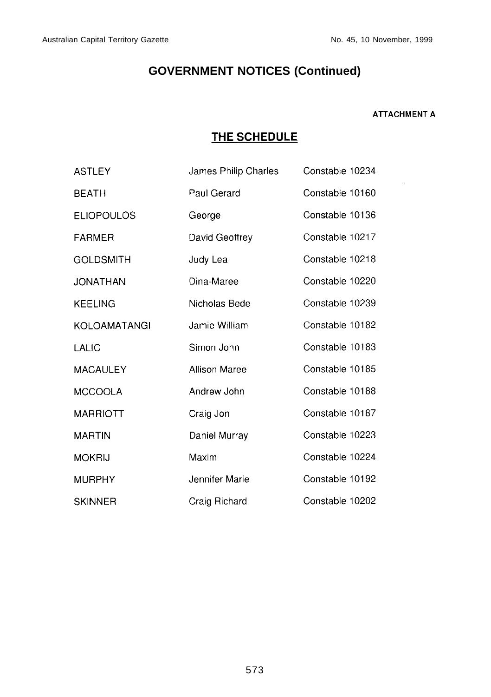#### **ATTACHMENT A**

 $\overline{\phantom{a}}$ 

## THE SCHEDULE

| <b>ASTLEY</b>     | James Philip Charles | Constable 10234 |
|-------------------|----------------------|-----------------|
| <b>BEATH</b>      | Paul Gerard          | Constable 10160 |
| <b>ELIOPOULOS</b> | George               | Constable 10136 |
| FARMER            | David Geoffrey       | Constable 10217 |
| <b>GOLDSMITH</b>  | Judy Lea             | Constable 10218 |
| JONATHAN          | Dina-Maree           | Constable 10220 |
| <b>KEELING</b>    | Nicholas Bede        | Constable 10239 |
| KOLOAMATANGI      | Jamie William        | Constable 10182 |
| LALIC             | Simon John           | Constable 10183 |
| MACAULEY          | <b>Allison Maree</b> | Constable 10185 |
| <b>MCCOOLA</b>    | Andrew John          | Constable 10188 |
| MARRIOTT          | Craig Jon            | Constable 10187 |
| <b>MARTIN</b>     | Daniel Murray        | Constable 10223 |
| <b>MOKRIJ</b>     | Maxim                | Constable 10224 |
| <b>MURPHY</b>     | Jennifer Marie       | Constable 10192 |
| <b>SKINNER</b>    | Craig Richard        | Constable 10202 |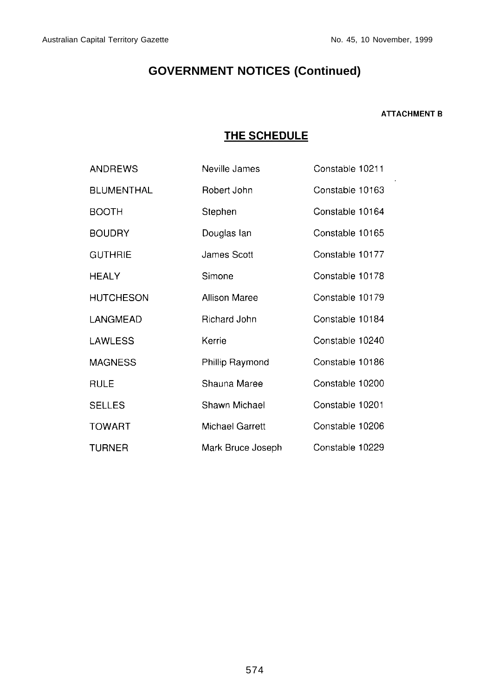#### **ATTACHMENT B**

## THE SCHEDULE

| ANDREWS           | Neville James        | Constable 10211 |
|-------------------|----------------------|-----------------|
| <b>BLUMENTHAL</b> | Robert John          | Constable 10163 |
| <b>BOOTH</b>      | Stephen              | Constable 10164 |
| <b>BOUDRY</b>     | Douglas lan          | Constable 10165 |
| <b>GUTHRIE</b>    | James Scott          | Constable 10177 |
| <b>HEALY</b>      | Simone               | Constable 10178 |
| <b>HUTCHESON</b>  | <b>Allison Maree</b> | Constable 10179 |
| LANGMEAD          | Richard John         | Constable 10184 |
| LAWLESS           | Kerrie               | Constable 10240 |
| <b>MAGNESS</b>    | Phillip Raymond      | Constable 10186 |
| <b>RULE</b>       | Shauna Maree         | Constable 10200 |
| <b>SELLES</b>     | Shawn Michael        | Constable 10201 |
| <b>TOWART</b>     | Michael Garrett      | Constable 10206 |
| <b>TURNER</b>     | Mark Bruce Joseph    | Constable 10229 |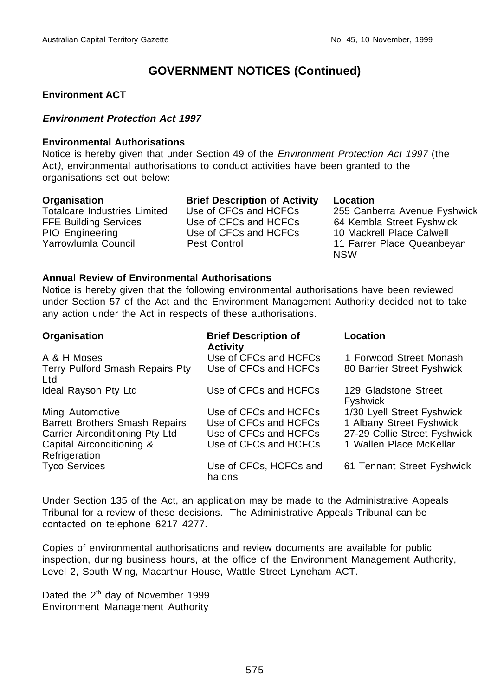## **Environment ACT**

## **Environment Protection Act 1997**

### **Environmental Authorisations**

Notice is hereby given that under Section 49 of the Environment Protection Act 1997 (the Act), environmental authorisations to conduct activities have been granted to the organisations set out below:

| Organisation                        | <b>Brief Description of Activity</b> | Location                     |
|-------------------------------------|--------------------------------------|------------------------------|
| <b>Totalcare Industries Limited</b> | Use of CFCs and HCFCs                | 255 Canberra Avenue Fyshwick |
| <b>FFE Building Services</b>        | Use of CFCs and HCFCs                | 64 Kembla Street Fyshwick    |
| PIO Engineering                     | Use of CFCs and HCFCs                | 10 Mackrell Place Calwell    |
| Yarrowlumla Council                 | Pest Control                         | 11 Farrer Place Queanbeyan   |
|                                     |                                      | <b>NSW</b>                   |

## **Annual Review of Environmental Authorisations**

Notice is hereby given that the following environmental authorisations have been reviewed under Section 57 of the Act and the Environment Management Authority decided not to take any action under the Act in respects of these authorisations.

| Organisation                               | <b>Brief Description of</b><br><b>Activity</b> | Location                                |
|--------------------------------------------|------------------------------------------------|-----------------------------------------|
| A & H Moses                                | Use of CFCs and HCFCs                          | 1 Forwood Street Monash                 |
| Terry Pulford Smash Repairs Pty<br>Ltd     | Use of CFCs and HCFCs                          | 80 Barrier Street Fyshwick              |
| Ideal Rayson Pty Ltd                       | Use of CFCs and HCFCs                          | 129 Gladstone Street<br><b>Fyshwick</b> |
| Ming Automotive                            | Use of CFCs and HCFCs                          | 1/30 Lyell Street Fyshwick              |
| <b>Barrett Brothers Smash Repairs</b>      | Use of CFCs and HCFCs                          | 1 Albany Street Fyshwick                |
| Carrier Airconditioning Pty Ltd            | Use of CFCs and HCFCs                          | 27-29 Collie Street Fyshwick            |
| Capital Airconditioning &<br>Refrigeration | Use of CFCs and HCFCs                          | 1 Wallen Place McKellar                 |
| <b>Tyco Services</b>                       | Use of CFCs, HCFCs and<br>halons               | 61 Tennant Street Fyshwick              |

Under Section 135 of the Act, an application may be made to the Administrative Appeals Tribunal for a review of these decisions. The Administrative Appeals Tribunal can be contacted on telephone 6217 4277.

Copies of environmental authorisations and review documents are available for public inspection, during business hours, at the office of the Environment Management Authority, Level 2, South Wing, Macarthur House, Wattle Street Lyneham ACT.

Dated the 2<sup>th</sup> day of November 1999 Environment Management Authority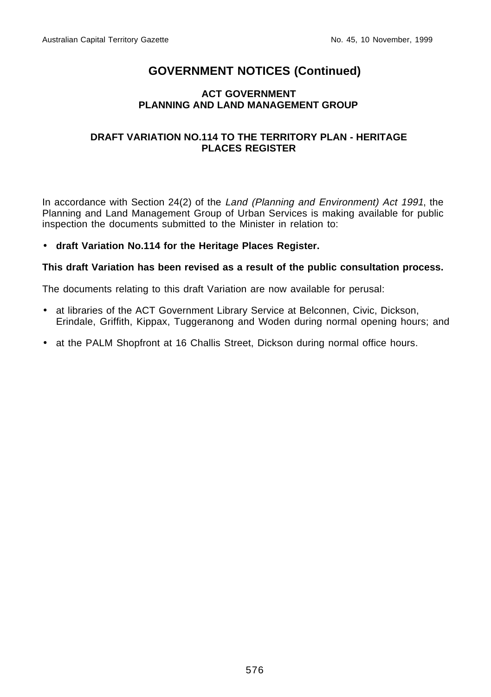## **ACT GOVERNMENT PLANNING AND LAND MANAGEMENT GROUP**

## **DRAFT VARIATION NO.114 TO THE TERRITORY PLAN - HERITAGE PLACES REGISTER**

In accordance with Section 24(2) of the Land (Planning and Environment) Act 1991, the Planning and Land Management Group of Urban Services is making available for public inspection the documents submitted to the Minister in relation to:

## • **draft Variation No.114 for the Heritage Places Register.**

## **This draft Variation has been revised as a result of the public consultation process.**

The documents relating to this draft Variation are now available for perusal:

- at libraries of the ACT Government Library Service at Belconnen, Civic, Dickson, Erindale, Griffith, Kippax, Tuggeranong and Woden during normal opening hours; and
- at the PALM Shopfront at 16 Challis Street, Dickson during normal office hours.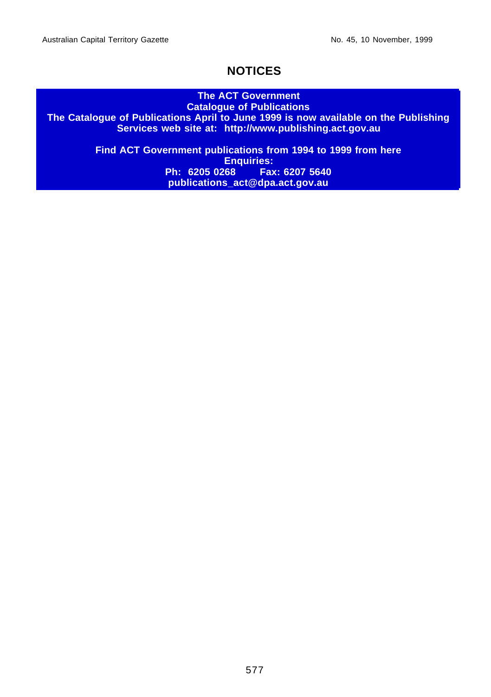## **NOTICES**

#### **The ACT Government Catalogue of Publications**

**The Catalogue of Publications April to June 1999 is now available on the Publishing Services web site at: http://www.publishing.act.gov.au**

> **Find ACT Government publications from 1994 to 1999 from here Enquiries:**<br>Ph: 6205 0268 **Fax Ph: 6205 0268 Fax: 6207 5640 publications\_act@dpa.act.gov.au**